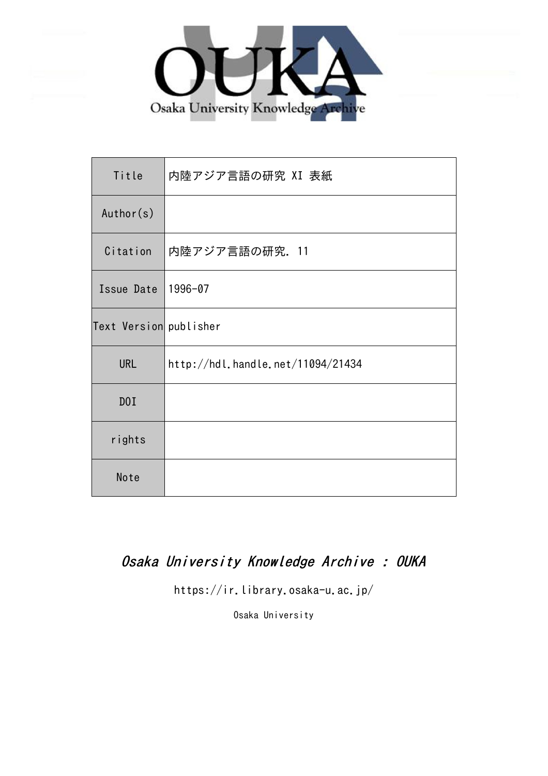

| Title                  | 内陸アジア言語の研究 XI 表紙                  |
|------------------------|-----------------------------------|
| Author(s)              |                                   |
| Citation               | 内陸アジア言語の研究. 11                    |
| Issue Date             | 1996-07                           |
| Text Version publisher |                                   |
| <b>URL</b>             | http://hdl.handle.net/11094/21434 |
| D0I                    |                                   |
| rights                 |                                   |
| Note                   |                                   |

## Osaka University Knowledge Archive : OUKA

https://ir.library.osaka-u.ac.jp/

Osaka University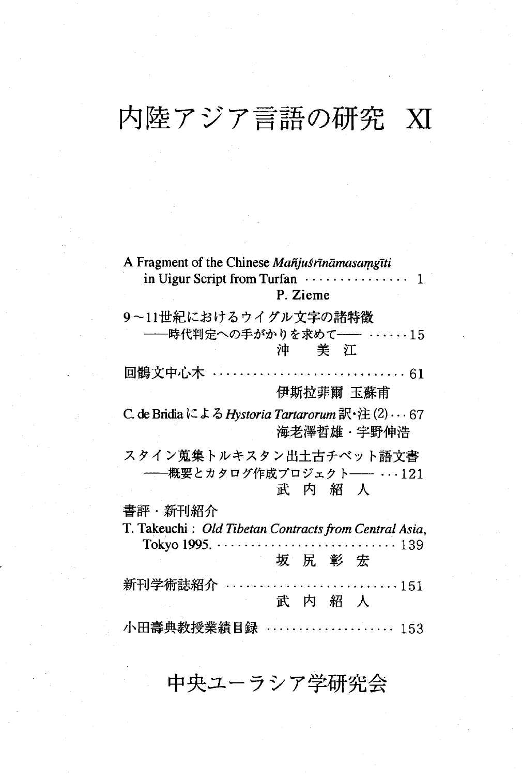# 内陸アジア言語の研究 XI

| A Fragment of the Chinese Mañjusrināmasamgīti<br>in Uigur Script from Turfan<br>1                                                                  |
|----------------------------------------------------------------------------------------------------------------------------------------------------|
| P. Zieme                                                                                                                                           |
| 9~11世紀におけるウイグル文字の諸特徴                                                                                                                               |
| 時代判定への手がかりを求めて――<br>$\cdots \cdots 15$<br>かんじゅう こうかい こうかい こうかい こうかい こうきょう こうきょう オンチョウ オンチョウ こうしゃ こうしゃ                                              |
| $\cdots \cdots \cdots \cdots \cdots \cdots \cdots \cdots \cdots 61$<br>回鶻文中心木                                                                      |
| 伊斯拉菲爾 玉蘇甫                                                                                                                                          |
| C. de Bridia による Hystoria Tartarorum 訳・注(2) $\cdots$ 67<br>海老澤哲雄・宇野伸浩                                                                              |
| スタイン蒐集トルキスタン出土古チベット語文書<br>──概要とカタログ作成プロジェクト── ···121<br>武内紹人                                                                                       |
| 書評・新刊紹介                                                                                                                                            |
| T. Takeuchi: Old Tibetan Contracts from Central Asia,<br>Tokyo 1995. .<br>139<br>$\mathbf{r}$ , $\mathbf{r}$ , $\mathbf{r}$ , $\mathbf{r}$<br>坂尻彰宏 |
| 新刊学術誌紹介<br>$\cdots \cdots 151$<br>武内紹人                                                                                                             |
| 小田壽典教授業績目録<br>.<br>153                                                                                                                             |

## 中央ユーラシア学研究会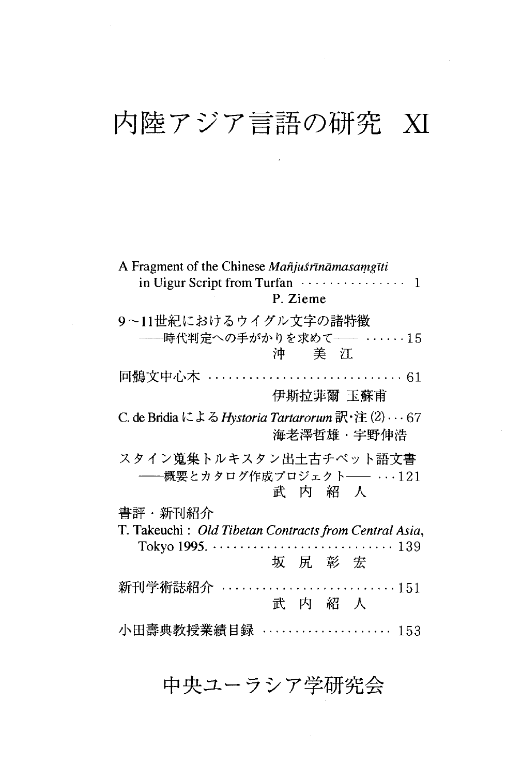## 内陸アジア言語の研究 XI

 $\mathcal{L}^{\text{max}}_{\text{max}}$  , where  $\mathcal{L}^{\text{max}}_{\text{max}}$ 

| A Fragment of the Chinese Mañjusrīnāmasamgīti<br>P. Zieme                       |
|---------------------------------------------------------------------------------|
| 9~11世紀におけるウイグル文字の諸特徴<br>-----時代判定への手がかりを求めて------ 15<br>アカラシ シャル 沖 つう美 美の江 アンチン |
| 回鶻文中心木 ……………………………… 61                                                          |
| 伊斯拉菲爾 玉蘇甫                                                                       |
| C. de Bridia による Hystoria Tartarorum 訳・注 (2) … 67<br>海老澤哲雄·宇野伸浩                 |
| スタイン蒐集トルキスタン出土古チベット語文書<br>──概要とカタログ作成プロジェクト── ‥‥121<br>武内紹人                     |
| 書評・新刊紹介                                                                         |
| T. Takeuchi: Old Tibetan Contracts from Central Asia,<br>139                    |
| 坂 尻 彰 宏                                                                         |
| 新刊学術誌紹介<br>151<br>武内紹人                                                          |
| 小田壽典教授業績目録                                                                      |

### 中央ユーラシア学研究会